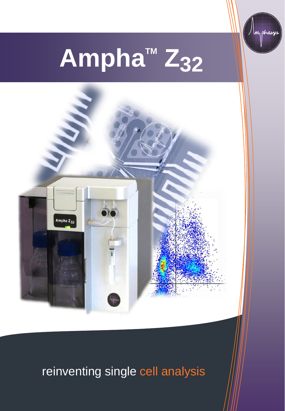

phasys



# **reinventing single cell**  reinventing single cell analysis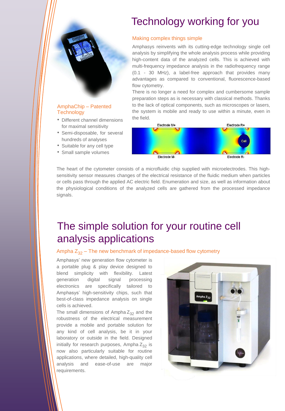## Technology working for you

#### Making complex things simple

Amphasys reinvents with its cutting-edge technology single cell analysis by simplifying the whole analysis process while providing high-content data of the analyzed cells. This is achieved with multi-frequency impedance analysis in the radiofrequency range (0.1 - 30 MHz), a label-free approach that provides many advantages as compared to conventional, fluorescence-based flow cytometry.

There is no longer a need for complex and cumbersome sample preparation steps as is necessary with classical methods. Thanks to the lack of optical components, such as microscopes or lasers, the system is mobile and ready to use within a minute, even in the field.



The heart of the cytometer consists of a microfluidic chip supplied with microelectrodes. This highsensitivity sensor measures changes of the electrical resistance of the fluidic medium when particles or cells pass through the applied AC electric field. Enumeration and size, as well as information about the physiological conditions of the analyzed cells are gathered from the processed impedance signals.

## The simple solution for your routine cell analysis applications

Ampha  $Z_{32}$  – The new benchmark of impedance-based flow cytometry

Amphasys' new generation flow cytometer is a portable plug & play device designed to blend simplicity with flexibility. Latest generation digital signal processing electronics are specifically tailored to Amphasys' high-sensitivity chips, such that best-of-class impedance analysis on single cells is achieved.

[AmphaChip](http://www.amphasys.com/lab-on-chip_label-free) – Patented

• Different channel dimensions for maximal sensitivity • Semi-disposable, for several hundreds of analyses • Suitable for any cell type • Small sample volumes

**Technology** 

The small dimensions of Ampha  $Z_{32}$  and the robustness of the electrical measurement provide a mobile and portable solution for any kind of cell analysis, be it in your laboratory or outside in the field. Designed initially for research purposes, Ampha  $Z_{32}$  is now also particularly suitable for routine applications, where detailed, high-quality cell analysis and ease-of-use are major requirements.

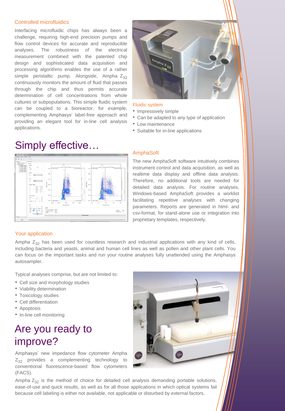#### Controlled microfluidics

Interfacing microfluidic chips has always been a challenge, requiring high-end precision pumps and flow control devices for accurate and reproducible analyses. The robustness of the electrical measurement combined with the patented chip design and sophisticated data acquisition and processing algorithms enables the use of a rather simple peristaltic pump. Alongside, Ampha  $Z_{32}$ continuously monitors the amount of fluid that passes through the chip and thus permits accurate determination of cell concentrations from whole cultures or subpopulations. This simple fluidic system can be coupled to a bioreactor, for example, complementing Amphasys' label-free approach and providing an elegant tool for in-line cell analysis applications.



### Fluidic system

- Impressively simple
- Can be adapted to any type of application
- Low maintenance
- Suitable for in-line applications

## Simply effective…



### AmphaSoft

The new AmphaSoft software intuitively combines instrument control and data acquisition, as well as realtime data display and offline data analysis. Therefore, no additional tools are needed for detailed data analysis. For routine analyses, Windows-based AmphaSoft provides a worklist facilitating repetitive analyses with changing parameters. Reports are generated in html- and csv-format, for stand-alone use or integration into proprietary templates, respectively.

### Your application

Ampha  $Z_{32}$  has been used for countless research and industrial applications with any kind of cells, including bacteria and yeasts, animal and human cell lines as well as pollen and other plant cells. You can focus on the important tasks and run your routine analyses fully unattended using the Amphasys autosampler.

Typical analyses comprise, but are not limited to:

- Cell size and morphology studies
- Viability determination
- Toxicology studies
- Cell differentiation
- Apoptosis
- In-line cell monitoring

# Are you ready to improve?

Amphasys' new impedance flow cytometer Ampha  $Z_{32}$  provides a complementing technology to conventional fluorescence-based flow cytometers (FACS).

Ampha  $Z_{32}$  is the method of choice for detailed cell analysis demanding portable solutions, ease-of-use and quick results, as well as for all those applications in which optical systems fail because cell labeling is either not available, not applicable or disturbed by external factors.